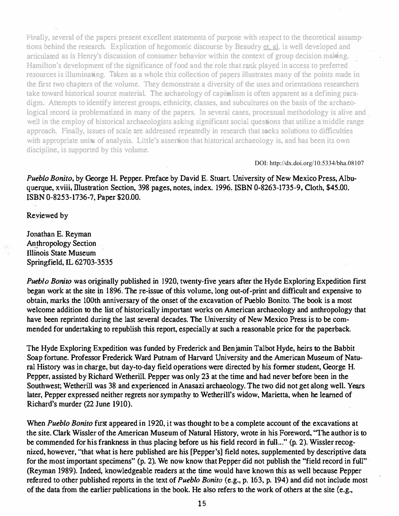Finally, several of the papers present excellent statements of purpose with respect to the theoretical assumptions behind the research. Explication of hegomonic discourse by Beaudry et, al. is well developed and articulated as is Henry's discussion of consumer behavior within the context of group decision making. Hamilton's development of the significance of food and the role that rank played in access to preferred resources is illuminating. Taken as a whole this collection of papers illustrates many of the points made in the first two chapters of the volume. They demonstrate a diversity of the uses and orientations researchers take toward historical source material. The archaeology of capitalism is often apparent as a defining paradigm. Attempts to identify interest groups, ethnicity, classes, and subcultures on the basis of the archaeological record is problematized in many of the papers. In several cases, processual methodology is alive and well in the employ of historical archaeologists asking significant social questions that utilize a middle range approach. Finally, issues of scale are addressed repeatedly in research that seeks solutions to difficulties with appropriate units of analysis. Little's assertion that historical archaeology is, and has been its own discipline, is supported by this volume.

DOI: http://dx.doi.org/10.5334/bha.08107

Pueblo Bonito, by George H. Pepper. Preface by David E. Stuart. University of New Mexico Press, Albuquerque, xviii, Illustration Section, 398 pages, notes, index. 1996. ISBN 0-8263-1735-9, Cloth, \$45.00. ISBN 0-8253-1736-7, Paper \$20.00.

Reyiewed by

lonathan E. Reyman Anthropology Section Illinois State Museum Springfield, IL 62703-3535

Pueblo Bonito was originally published in 1920, twenty-five years after the Hyde Exploring Expedition first began work at the site in 1 896. The re-issue of this volume, long out-of-print and difficult and expensive to obtain, marks the IOOth anniversary of the onset of the excavation of Pueblo Bonito. The book is a most welcome addition to the list of historically important works on American archaeology and anthropology that have been reprinted during the last several decades. The University of New Mexico Press is to be commended for undertaking to republish this report, especially at such a reasonable price for the paperback.

The Hyde Exploring Expedition was funded by Frederick and Benjamin Talbot Hyde, heirs to the Babbit Soap fortune. Professor Frederick Ward Putnam of Harvard University and the American Museum of Natural History was in charge, but day-to-day field operations were directed by his fonner student, George H. Pepper, assisted by Richard Wetherill. Pepper was only 23 at the time and had never before been in the Southwest; Wetherill was 38 and experienced in Anasazi archaeology. The two did not get along well. Years later, Pepper expressed neither regrets nor sympathy to Wetherill's widow, Marietta, when he learned of Richard's murder (22 June 1910).

When Pueblo Bonito fust appeared in 1920, it was thought to be a complete account of the excavations at the site. Clark Wissler of the American Museum of Natural History. wrote in his Foreword. "The author is to be commended for his frankness in thus placing before us his field record in full..." (p. 2). Wissler recognized, however, "that what is here published are his [Pepper's] field notes, supplemented by descriptive data for the most important specimens" (p. 2). We now know that Pepper did not publish the "field record in full" (Reyman 1989). Indeed, knowledgeable readers at the time would have known this as well because Pepper referred to other published reports in the text of Pueblo Bonito (e.g., p. 163, p. 194) and did not include most of the data from the earlier publications in the book. He also refers to the work of others at the site (e.g.,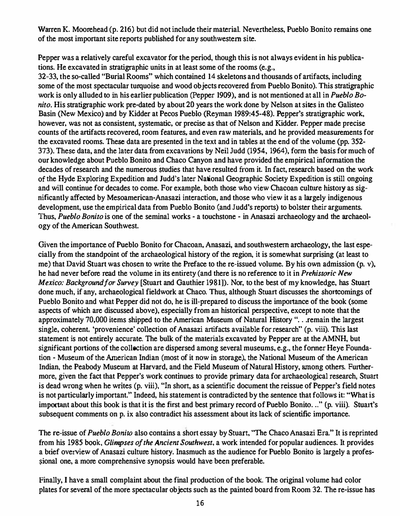Warren K. Moorehead (p. 216) but did not include their material. Nevertheless, Pueblo Bonito remains one of the most important site reports published for any southwestern site.

Pepper was a relatively careful excavator for the period, though this is not always evident in his publications. He excavated in stratigraphic units in at least some of the rooms (e.g.,

32-33, the so-called "Burial Rooms" which contained 14 skeletons and thousands of artifacts, including some of the most spectacular turquoise and wood objects recovered from Pueblo Bonito). This stratigraphic work is only alluded to in his earlier publication (Pepper 1909), and is not mentioned at all in *Pueblo Bo*nito. His stratigraphic work pre-dated by about 20 years the work done by Nelson at sites in the Galisteo Basin (New Mexico) and by Kidder at Pecos Pueblo (Reyman 1989:45-48). Pepper's stratigraphic work, however. was not as consistent, systematic, or precise as that of Nelson and Kidder. Pepper made precise counts of the artifacts recovered, room features, and even raw materials, and he provided measurements for the excavated rooms. These data are presented in the text and in tables at the end of the volume (pp. 352- 373). These data, and the later data from excavations by Neil Judd (1954, 1964), form the basis for much of our knowledge about Pueblo Bonito and Chaco Canyon and have provided the empirical information the decades of research and the numerous studies that have resulted from it. In fact. research based on the work of the Hyde Exploring Expedition and Judd's later National Geographic Society Expedition is still ongoing and will continue for decades to come. For example, both those who view Chacoan culnue history as significantly affected by Mesoamerican-Anasazi interaction. and those who view it as a largely indigenous development, use the empirical data from Pueblo Bonito (and Judd's reports) to bolster their arguments. Thus, Pueblo Bonito is one of the seminal works - a touchstone - in Anasazi archaeology and the archaeology of the American Southwest.

Given the importance of Pueblo Bonito for Chacoan, Anasazi, and southwestern archaeology, the last especially from the standpoint of the archaeological history of the region, it is somewhat surprising (at least to me) that David Stuart was chosen to write the Preface to the re-issued volume. By his own admission (p. v), he had never before read the volume in its entirety (and there is no reference to it in *Prehistoric New* Mexico: Background for Survey [Stuart and Gauthier 1981]). Nor, to the best of my knowledge, has Stuart done much, if any. archaeological fieldwork at Chaco. Thus. although Stuart discusses the shoncomings of Pueblo Bonito and what Pepper did not do, he is ill-prepared to discuss the importance of the book (some aspects of which are discussed above). especially from an historical perspective. except to note that the approximately 70,000 items shipped to the American Museum of Natural History "... remain the largest single. coherent. 'provenience' collection of Anasazi artifacts available for research" (p. viii). This last statement is not entirely accurate. The bulk of the materials excavated by Pepper are at the AMNH. but significant portions of the collection are dispersed among several museums, e.g., the former Heye Foundation - Museum of the American Indian (most of it now in storage), the National Museum of the American Indian, the Peabody Museum at Harvard, and the Field Museum of Natural History, among others. Furthermore, given the fact that Pepper's work continues to provide primary data for archaeological research, Stuart is dead wrong when he writes (p. viii), "In short. as a scientific document the reissue of Pepper's field notes is not particularly important." Indeed. his statement is contradicted by the sentence that follows it "What is important about this book is that it is the first and best primary record of Pueblo Bonito. .." (p. viii). Stuart's subsequent comments on p. ix also contradict his assessment about its lack of scientific importance.

The re-issue of Pueblo Bonito also contains a short essay by Stuart, "The Chaco Anasazi Era." It is reprinted from his 1985 book, Glimpses of the Ancient Southwest, a work intended for popular audiences. It provides a brief overview of Anasazi culture history. Inasmuch as the audience for Pueblo Bonito is largely a professional one, a more comprehensive synopsis would have been preferable.

Finally, I have a small complaint about the final production of the book. The original volume had color plates for several of the more spectacular objects such as the painted board from Room 32. The re-issue has